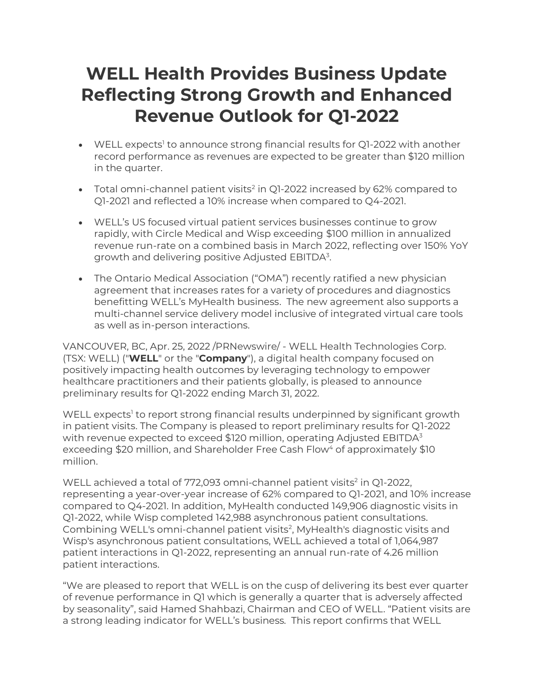# **WELL Health Provides Business Update Reflecting Strong Growth and Enhanced Revenue Outlook for Q1-2022**

- $\bullet$  WELL expects<sup>1</sup> to announce strong financial results for Q1-2022 with another record performance as revenues are expected to be greater than \$120 million in the quarter.
- Total omni-channel patient visits<sup>2</sup> in Q1-2022 increased by 62% compared to Q1-2021 and reflected a 10% increase when compared to Q4-2021.
- WELL's US focused virtual patient services businesses continue to grow rapidly, with Circle Medical and Wisp exceeding \$100 million in annualized revenue run-rate on a combined basis in March 2022, reflecting over 150% YoY growth and delivering positive Adjusted EBITDA<sup>3</sup>.
- The Ontario Medical Association ("OMA") recently ratified a new physician agreement that increases rates for a variety of procedures and diagnostics benefitting WELL's MyHealth business. The new agreement also supports a multi-channel service delivery model inclusive of integrated virtual care tools as well as in-person interactions.

VANCOUVER, BC, Apr. 25, 2022 /PRNewswire/ - WELL Health Technologies Corp. (TSX: WELL) ("**WELL**" or the "**Company**"), a digital health company focused on positively impacting health outcomes by leveraging technology to empower healthcare practitioners and their patients globally, is pleased to announce preliminary results for Q1-2022 ending March 31, 2022.

WELL expects<sup>1</sup> to report strong financial results underpinned by significant growth in patient visits. The Company is pleased to report preliminary results for Q1-2022 with revenue expected to exceed \$120 million, operating Adjusted EBITDA<sup>3</sup> exceeding \$20 million, and Shareholder Free Cash Flow<sup>4</sup> of approximately \$10 million.

WELL achieved a total of 772,093 omni-channel patient visits<sup>2</sup> in Q1-2022, representing a year-over-year increase of 62% compared to Q1-2021, and 10% increase compared to Q4-2021. In addition, MyHealth conducted 149,906 diagnostic visits in Q1-2022, while Wisp completed 142,988 asynchronous patient consultations. Combining WELL's omni-channel patient visits<sup>2</sup>, MyHealth's diagnostic visits and Wisp's asynchronous patient consultations, WELL achieved a total of 1,064,987 patient interactions in Q1-2022, representing an annual run-rate of 4.26 million patient interactions.

"We are pleased to report that WELL is on the cusp of delivering its best ever quarter of revenue performance in Q1 which is generally a quarter that is adversely affected by seasonality", said Hamed Shahbazi, Chairman and CEO of WELL. "Patient visits are a strong leading indicator for WELL's business. This report confirms that WELL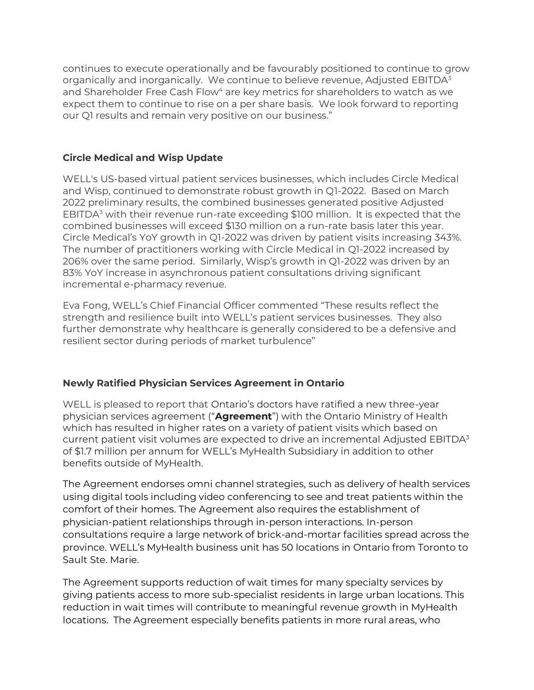continues to execute operationally and be favourably positioned to continue to grow organically and inorganically. We continue to believe revenue, Adjusted  $EBITDA<sup>3</sup>$ and Shareholder Free Cash Flow<sup>4</sup> are key metrics for shareholders to watch as we expect them to continue to rise on a per share basis. We look forward to reporting our Q1 results and remain very positive on our business."

## **Circle Medical and Wisp Update**

WELL's US-based virtual patient services businesses, which includes Circle Medical and Wisp, continued to demonstrate robust growth in Q1-2022. Based on March 2022 preliminary results, the combined businesses generated positive Adjusted EBITDA $3$  with their revenue run-rate exceeding \$100 million. It is expected that the combined businesses will exceed \$130 million on a run-rate basis later this year. Circle Medical's YoY growth in Q1-2022 was driven by patient visits increasing 343%. The number of practitioners working with Circle Medical in Q1-2022 increased by 206% over the same period. Similarly, Wisp's growth in Q1-2022 was driven by an 83% YoY increase in asynchronous patient consultations driving significant incremental e-pharmacy revenue.

Eva Fong, WELL's Chief Financial Officer commented "These results reflect the strength and resilience built into WELL's patient services businesses. They also further demonstrate why healthcare is generally considered to be a defensive and resilient sector during periods of market turbulence"

## **Newly Ratified Physician Services Agreement in Ontario**

WELL is pleased to report that Ontario's doctors have ratified a new three-year physician services agreement ("**Agreement**") with the Ontario Ministry of Health which has resulted in higher rates on a variety of patient visits which based on current patient visit volumes are expected to drive an incremental Adjusted  $EBITDA<sup>3</sup>$ of \$1.7 million per annum for WELL's MyHealth Subsidiary in addition to other benefits outside of MyHealth.

The Agreement endorses omni channel strategies, such as delivery of health services using digital tools including video conferencing to see and treat patients within the comfort of their homes. The Agreement also requires the establishment of physician-patient relationships through in-person interactions. In-person consultations require a large network of brick-and-mortar facilities spread across the province. WELL's MyHealth business unit has 50 locations in Ontario from Toronto to Sault Ste. Marie.

The Agreement supports reduction of wait times for many specialty services by giving patients access to more sub-specialist residents in large urban locations. This reduction in wait times will contribute to meaningful revenue growth in MyHealth locations. The Agreement especially benefits patients in more rural areas, who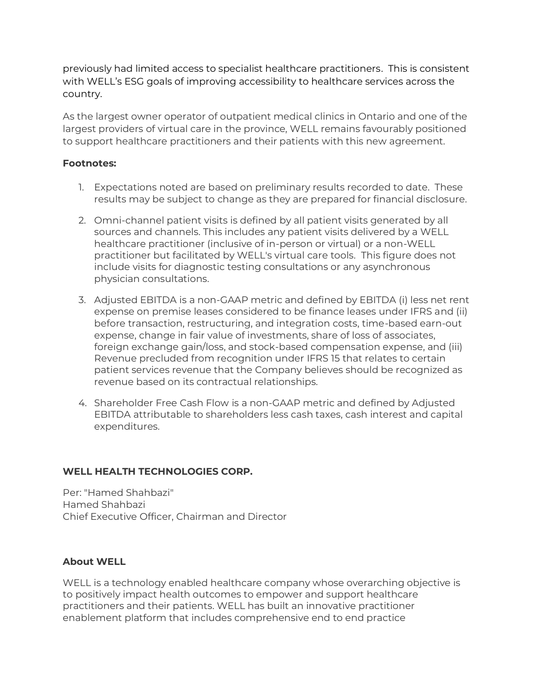previously had limited access to specialist healthcare practitioners. This is consistent with WELL's ESG goals of improving accessibility to healthcare services across the country.

As the largest owner operator of outpatient medical clinics in Ontario and one of the largest providers of virtual care in the province, WELL remains favourably positioned to support healthcare practitioners and their patients with this new agreement.

### **Footnotes:**

- 1. Expectations noted are based on preliminary results recorded to date. These results may be subject to change as they are prepared for financial disclosure.
- 2. Omni-channel patient visits is defined by all patient visits generated by all sources and channels. This includes any patient visits delivered by a WELL healthcare practitioner (inclusive of in-person or virtual) or a non-WELL practitioner but facilitated by WELL's virtual care tools. This figure does not include visits for diagnostic testing consultations or any asynchronous physician consultations.
- 3. Adjusted EBITDA is a non-GAAP metric and defined by EBITDA (i) less net rent expense on premise leases considered to be finance leases under IFRS and (ii) before transaction, restructuring, and integration costs, time-based earn-out expense, change in fair value of investments, share of loss of associates, foreign exchange gain/loss, and stock-based compensation expense, and (iii) Revenue precluded from recognition under IFRS 15 that relates to certain patient services revenue that the Company believes should be recognized as revenue based on its contractual relationships.
- 4. Shareholder Free Cash Flow is a non-GAAP metric and defined by Adjusted EBITDA attributable to shareholders less cash taxes, cash interest and capital expenditures.

## **WELL HEALTH TECHNOLOGIES CORP.**

Per: "Hamed Shahbazi" Hamed Shahbazi Chief Executive Officer, Chairman and Director

### **About WELL**

WELL is a technology enabled healthcare company whose overarching objective is to positively impact health outcomes to empower and support healthcare practitioners and their patients. WELL has built an innovative practitioner enablement platform that includes comprehensive end to end practice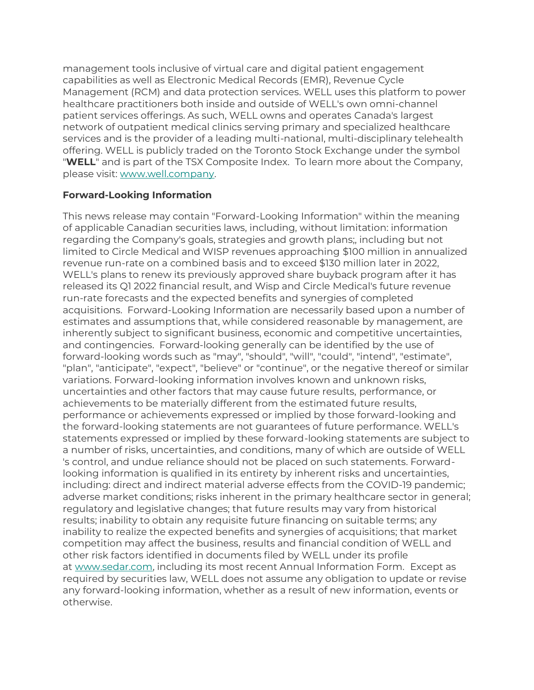management tools inclusive of virtual care and digital patient engagement capabilities as well as Electronic Medical Records (EMR), Revenue Cycle Management (RCM) and data protection services. WELL uses this platform to power healthcare practitioners both inside and outside of WELL's own omni-channel patient services offerings. As such, WELL owns and operates Canada's largest network of outpatient medical clinics serving primary and specialized healthcare services and is the provider of a leading multi-national, multi-disciplinary telehealth offering. WELL is publicly traded on the Toronto Stock Exchange under the symbol "**WELL**" and is part of the TSX Composite Index. To learn more about the Company, please visit: [www.well.company.](https://c212.net/c/link/?t=0&l=en&o=3418936-1&h=955442197&u=https%3A%2F%2Fwww.well.company%2F&a=www.well.company)

### **Forward-Looking Information**

This news release may contain "Forward-Looking Information" within the meaning of applicable Canadian securities laws, including, without limitation: information regarding the Company's goals, strategies and growth plans;, including but not limited to Circle Medical and WISP revenues approaching \$100 million in annualized revenue run-rate on a combined basis and to exceed \$130 million later in 2022, WELL's plans to renew its previously approved share buyback program after it has released its Q1 2022 financial result, and Wisp and Circle Medical's future revenue run-rate forecasts and the expected benefits and synergies of completed acquisitions. Forward-Looking Information are necessarily based upon a number of estimates and assumptions that, while considered reasonable by management, are inherently subject to significant business, economic and competitive uncertainties, and contingencies. Forward-looking generally can be identified by the use of forward-looking words such as "may", "should", "will", "could", "intend", "estimate", "plan", "anticipate", "expect", "believe" or "continue", or the negative thereof or similar variations. Forward-looking information involves known and unknown risks, uncertainties and other factors that may cause future results, performance, or achievements to be materially different from the estimated future results, performance or achievements expressed or implied by those forward-looking and the forward-looking statements are not guarantees of future performance. WELL's statements expressed or implied by these forward-looking statements are subject to a number of risks, uncertainties, and conditions, many of which are outside of WELL 's control, and undue reliance should not be placed on such statements. Forwardlooking information is qualified in its entirety by inherent risks and uncertainties, including: direct and indirect material adverse effects from the COVID-19 pandemic; adverse market conditions; risks inherent in the primary healthcare sector in general; regulatory and legislative changes; that future results may vary from historical results; inability to obtain any requisite future financing on suitable terms; any inability to realize the expected benefits and synergies of acquisitions; that market competition may affect the business, results and financial condition of WELL and other risk factors identified in documents filed by WELL under its profile at [www.sedar.com,](https://c212.net/c/link/?t=0&l=en&o=3418936-1&h=158119985&u=http%3A%2F%2Fwww.sedar.com%2F&a=www.sedar.com) including its most recent Annual Information Form. Except as required by securities law, WELL does not assume any obligation to update or revise any forward-looking information, whether as a result of new information, events or otherwise.